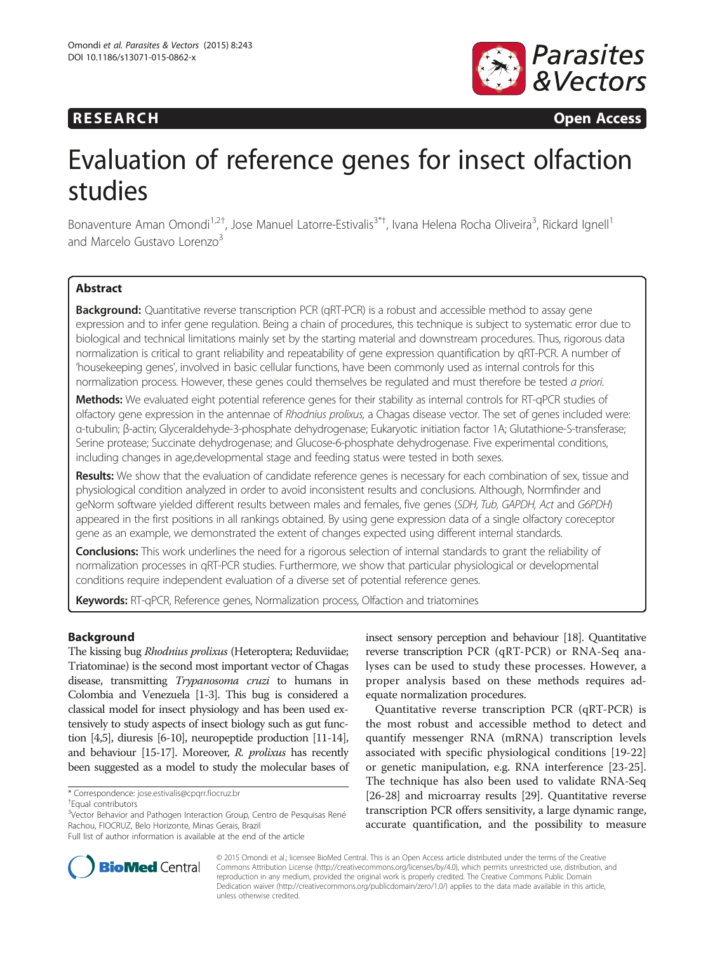# **RESEARCH CHINESEARCH CHINESEARCH CHINESE**



# Evaluation of reference genes for insect olfaction studies

Bonaventure Aman Omondi<sup>1,2†</sup>, Jose Manuel Latorre-Estivalis<sup>3\*†</sup>, Ivana Helena Rocha Oliveira<sup>3</sup>, Rickard Ignell<sup>1</sup> and Marcelo Gustavo Lorenzo<sup>3</sup>

# Abstract

**Background:** Quantitative reverse transcription PCR (qRT-PCR) is a robust and accessible method to assay gene expression and to infer gene regulation. Being a chain of procedures, this technique is subject to systematic error due to biological and technical limitations mainly set by the starting material and downstream procedures. Thus, rigorous data normalization is critical to grant reliability and repeatability of gene expression quantification by qRT-PCR. A number of 'housekeeping genes', involved in basic cellular functions, have been commonly used as internal controls for this normalization process. However, these genes could themselves be regulated and must therefore be tested a priori.

Methods: We evaluated eight potential reference genes for their stability as internal controls for RT-qPCR studies of olfactory gene expression in the antennae of Rhodnius prolixus, a Chagas disease vector. The set of genes included were: α-tubulin; β-actin; Glyceraldehyde-3-phosphate dehydrogenase; Eukaryotic initiation factor 1A; Glutathione-S-transferase; Serine protease; Succinate dehydrogenase; and Glucose-6-phosphate dehydrogenase. Five experimental conditions, including changes in age,developmental stage and feeding status were tested in both sexes.

Results: We show that the evaluation of candidate reference genes is necessary for each combination of sex, tissue and physiological condition analyzed in order to avoid inconsistent results and conclusions. Although, Normfinder and geNorm software yielded different results between males and females, five genes (SDH, Tub, GAPDH, Act and G6PDH) appeared in the first positions in all rankings obtained. By using gene expression data of a single olfactory coreceptor gene as an example, we demonstrated the extent of changes expected using different internal standards.

Conclusions: This work underlines the need for a rigorous selection of internal standards to grant the reliability of normalization processes in qRT-PCR studies. Furthermore, we show that particular physiological or developmental conditions require independent evaluation of a diverse set of potential reference genes.

Keywords: RT-qPCR, Reference genes, Normalization process, Olfaction and triatomines

# Background

The kissing bug Rhodnius prolixus (Heteroptera; Reduviidae; Triatominae) is the second most important vector of Chagas disease, transmitting Trypanosoma cruzi to humans in Colombia and Venezuela [[1](#page-13-0)-[3](#page-13-0)]. This bug is considered a classical model for insect physiology and has been used extensively to study aspects of insect biology such as gut function [\[4,5\]](#page-13-0), diuresis [\[6-10](#page-13-0)], neuropeptide production [\[11-14](#page-13-0)], and behaviour [[15-17\]](#page-13-0). Moreover, R. prolixus has recently been suggested as a model to study the molecular bases of

\* Correspondence: [jose.estivalis@cpqrr.fiocruz.br](mailto:jose.estivalis@cpqrr.fiocruz.br) †

Equal contributors

<sup>3</sup>Vector Behavior and Pathogen Interaction Group, Centro de Pesquisas René Rachou, FIOCRUZ, Belo Horizonte, Minas Gerais, Brazil

insect sensory perception and behaviour [\[18\]](#page-13-0). Quantitative reverse transcription PCR (qRT-PCR) or RNA-Seq analyses can be used to study these processes. However, a proper analysis based on these methods requires adequate normalization procedures.

Quantitative reverse transcription PCR (qRT-PCR) is the most robust and accessible method to detect and quantify messenger RNA (mRNA) transcription levels associated with specific physiological conditions [\[19](#page-13-0)-[22](#page-13-0)] or genetic manipulation, e.g. RNA interference [\[23-25](#page-13-0)]. The technique has also been used to validate RNA-Seq [[26](#page-13-0)-[28\]](#page-13-0) and microarray results [[29](#page-13-0)]. Quantitative reverse transcription PCR offers sensitivity, a large dynamic range, accurate quantification, and the possibility to measure



© 2015 Omondi et al.; licensee BioMed Central. This is an Open Access article distributed under the terms of the Creative Commons Attribution License [\(http://creativecommons.org/licenses/by/4.0\)](http://creativecommons.org/licenses/by/4.0), which permits unrestricted use, distribution, and reproduction in any medium, provided the original work is properly credited. The Creative Commons Public Domain Dedication waiver [\(http://creativecommons.org/publicdomain/zero/1.0/](http://creativecommons.org/publicdomain/zero/1.0/)) applies to the data made available in this article, unless otherwise credited.

Full list of author information is available at the end of the article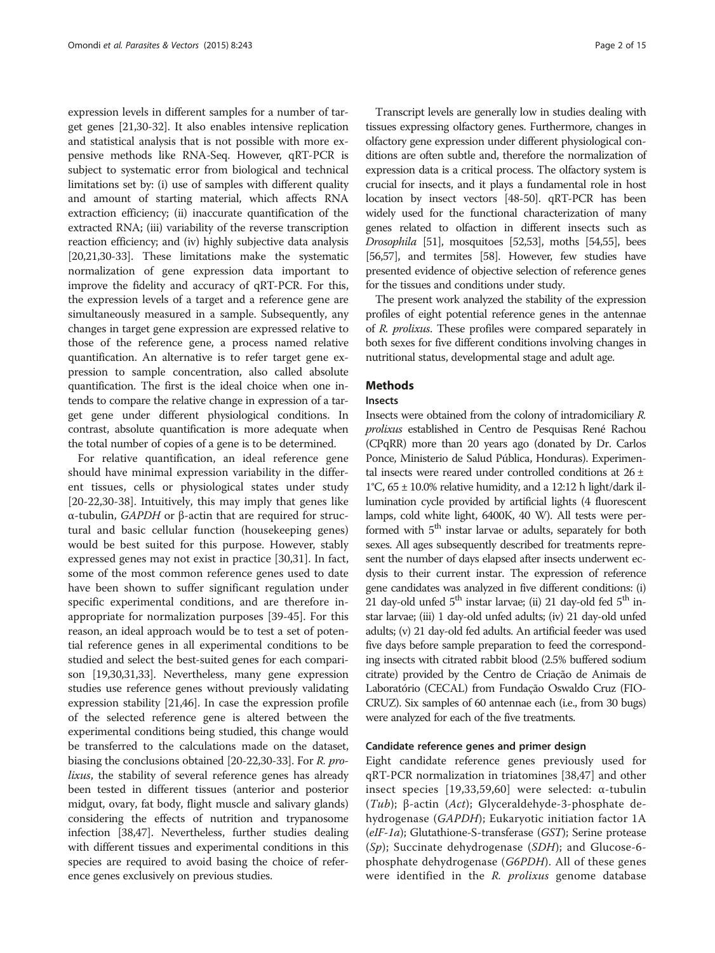expression levels in different samples for a number of target genes [\[21,30](#page-13-0)-[32](#page-13-0)]. It also enables intensive replication and statistical analysis that is not possible with more expensive methods like RNA-Seq. However, qRT-PCR is subject to systematic error from biological and technical limitations set by: (i) use of samples with different quality and amount of starting material, which affects RNA extraction efficiency; (ii) inaccurate quantification of the extracted RNA; (iii) variability of the reverse transcription reaction efficiency; and (iv) highly subjective data analysis [[20,21,30-33\]](#page-13-0). These limitations make the systematic normalization of gene expression data important to improve the fidelity and accuracy of qRT-PCR. For this, the expression levels of a target and a reference gene are simultaneously measured in a sample. Subsequently, any changes in target gene expression are expressed relative to those of the reference gene, a process named relative quantification. An alternative is to refer target gene expression to sample concentration, also called absolute quantification. The first is the ideal choice when one intends to compare the relative change in expression of a target gene under different physiological conditions. In contrast, absolute quantification is more adequate when the total number of copies of a gene is to be determined.

For relative quantification, an ideal reference gene should have minimal expression variability in the different tissues, cells or physiological states under study [[20-22,30-38](#page-13-0)]. Intuitively, this may imply that genes like α-tubulin, GAPDH or β-actin that are required for structural and basic cellular function (housekeeping genes) would be best suited for this purpose. However, stably expressed genes may not exist in practice [[30,31\]](#page-13-0). In fact, some of the most common reference genes used to date have been shown to suffer significant regulation under specific experimental conditions, and are therefore inappropriate for normalization purposes [\[39](#page-13-0)-[45](#page-13-0)]. For this reason, an ideal approach would be to test a set of potential reference genes in all experimental conditions to be studied and select the best-suited genes for each comparison [\[19,30,31,33\]](#page-13-0). Nevertheless, many gene expression studies use reference genes without previously validating expression stability [\[21,46](#page-13-0)]. In case the expression profile of the selected reference gene is altered between the experimental conditions being studied, this change would be transferred to the calculations made on the dataset, biasing the conclusions obtained [\[20-22,30-33\]](#page-13-0). For R. prolixus, the stability of several reference genes has already been tested in different tissues (anterior and posterior midgut, ovary, fat body, flight muscle and salivary glands) considering the effects of nutrition and trypanosome infection [\[38](#page-13-0)[,47\]](#page-14-0). Nevertheless, further studies dealing with different tissues and experimental conditions in this species are required to avoid basing the choice of reference genes exclusively on previous studies.

Transcript levels are generally low in studies dealing with tissues expressing olfactory genes. Furthermore, changes in olfactory gene expression under different physiological conditions are often subtle and, therefore the normalization of expression data is a critical process. The olfactory system is crucial for insects, and it plays a fundamental role in host location by insect vectors [\[48-50\]](#page-14-0). qRT-PCR has been widely used for the functional characterization of many genes related to olfaction in different insects such as Drosophila [\[51\]](#page-14-0), mosquitoes [\[52,53](#page-14-0)], moths [[54,55\]](#page-14-0), bees [[56,57\]](#page-14-0), and termites [[58](#page-14-0)]. However, few studies have presented evidence of objective selection of reference genes for the tissues and conditions under study.

The present work analyzed the stability of the expression profiles of eight potential reference genes in the antennae of R. prolixus. These profiles were compared separately in both sexes for five different conditions involving changes in nutritional status, developmental stage and adult age.

# **Methods**

#### Insects

Insects were obtained from the colony of intradomiciliary R. prolixus established in Centro de Pesquisas René Rachou (CPqRR) more than 20 years ago (donated by Dr. Carlos Ponce, Ministerio de Salud Pública, Honduras). Experimental insects were reared under controlled conditions at 26 ± 1°C, 65 ± 10.0% relative humidity, and a 12:12 h light/dark illumination cycle provided by artificial lights (4 fluorescent lamps, cold white light, 6400K, 40 W). All tests were performed with  $5<sup>th</sup>$  instar larvae or adults, separately for both sexes. All ages subsequently described for treatments represent the number of days elapsed after insects underwent ecdysis to their current instar. The expression of reference gene candidates was analyzed in five different conditions: (i) 21 day-old unfed  $5<sup>th</sup>$  instar larvae; (ii) 21 day-old fed  $5<sup>th</sup>$  instar larvae; (iii) 1 day-old unfed adults; (iv) 21 day-old unfed adults; (v) 21 day-old fed adults. An artificial feeder was used five days before sample preparation to feed the corresponding insects with citrated rabbit blood (2.5% buffered sodium citrate) provided by the Centro de Criação de Animais de Laboratório (CECAL) from Fundação Oswaldo Cruz (FIO-CRUZ). Six samples of 60 antennae each (i.e., from 30 bugs) were analyzed for each of the five treatments.

#### Candidate reference genes and primer design

Eight candidate reference genes previously used for qRT-PCR normalization in triatomines [[38](#page-13-0),[47](#page-14-0)] and other insect species [\[19](#page-13-0),[33](#page-13-0)[,59,60](#page-14-0)] were selected: α-tubulin (Tub); β-actin (Act); Glyceraldehyde-3-phosphate dehydrogenase (GAPDH); Eukaryotic initiation factor 1A (eIF-1a); Glutathione-S-transferase (GST); Serine protease  $(Sp)$ ; Succinate dehydrogenase (SDH); and Glucose-6phosphate dehydrogenase (G6PDH). All of these genes were identified in the  $R$ .  $prolixus$  genome database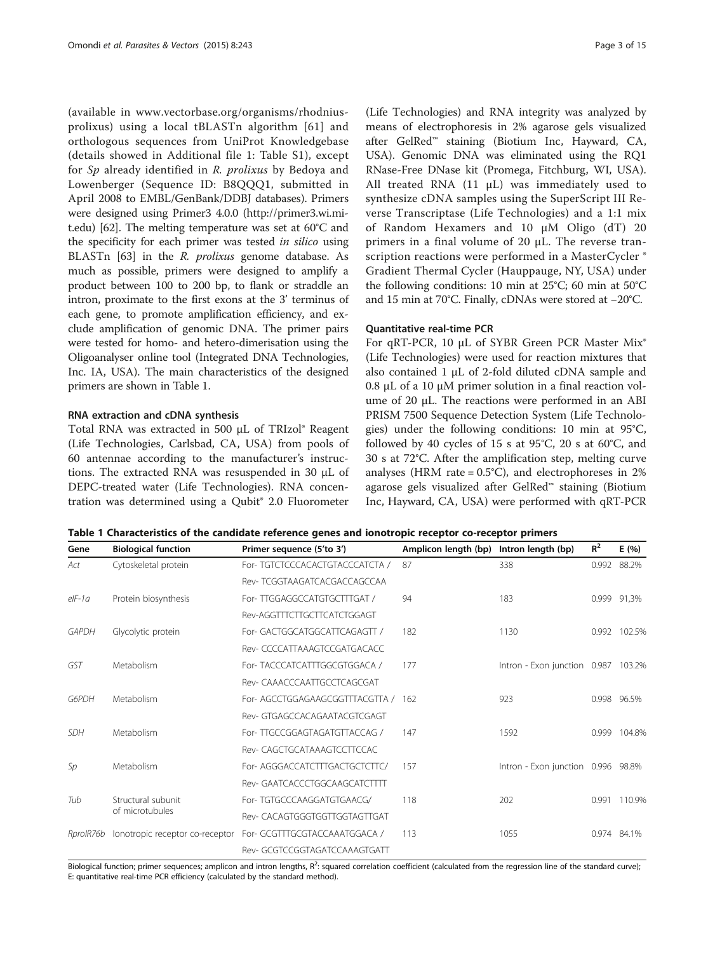<span id="page-2-0"></span>(available in [www.vectorbase.org/organisms/rhodnius](http://www.vectorbase.org/organisms/rhodnius-prolixus)[prolixus](http://www.vectorbase.org/organisms/rhodnius-prolixus)) using a local tBLASTn algorithm [[61\]](#page-14-0) and orthologous sequences from UniProt Knowledgebase (details showed in Additional file [1](#page-12-0): Table S1), except for Sp already identified in R. prolixus by Bedoya and Lowenberger (Sequence ID: B8QQQ1, submitted in April 2008 to EMBL/GenBank/DDBJ databases). Primers were designed using Primer3 4.0.0 ([http://primer3.wi.mi](http://primer3.wi.mit.edu)[t.edu](http://primer3.wi.mit.edu)) [\[62\]](#page-14-0). The melting temperature was set at 60°C and the specificity for each primer was tested in silico using BLASTn [\[63](#page-14-0)] in the *R. prolixus* genome database. As much as possible, primers were designed to amplify a product between 100 to 200 bp, to flank or straddle an intron, proximate to the first exons at the 3' terminus of each gene, to promote amplification efficiency, and exclude amplification of genomic DNA. The primer pairs were tested for homo- and hetero-dimerisation using the Oligoanalyser online tool (Integrated DNA Technologies, Inc. IA, USA). The main characteristics of the designed primers are shown in Table 1.

#### RNA extraction and cDNA synthesis

Total RNA was extracted in 500 μL of TRIzol® Reagent (Life Technologies, Carlsbad, CA, USA) from pools of 60 antennae according to the manufacturer's instructions. The extracted RNA was resuspended in 30 μL of DEPC-treated water (Life Technologies). RNA concentration was determined using a Qubit® 2.0 Fluorometer

(Life Technologies) and RNA integrity was analyzed by means of electrophoresis in 2% agarose gels visualized after GelRed™ staining (Biotium Inc, Hayward, CA, USA). Genomic DNA was eliminated using the RQ1 RNase-Free DNase kit (Promega, Fitchburg, WI, USA). All treated RNA (11 μL) was immediately used to synthesize cDNA samples using the SuperScript III Reverse Transcriptase (Life Technologies) and a 1:1 mix of Random Hexamers and 10 μM Oligo (dT) 20 primers in a final volume of 20 μL. The reverse transcription reactions were performed in a MasterCycler ® Gradient Thermal Cycler (Hauppauge, NY, USA) under the following conditions: 10 min at 25°C; 60 min at 50°C and 15 min at 70°C. Finally, cDNAs were stored at −20°C.

#### Quantitative real-time PCR

For qRT-PCR, 10 μL of SYBR Green PCR Master Mix® (Life Technologies) were used for reaction mixtures that also contained 1 μL of 2-fold diluted cDNA sample and 0.8 μL of a 10 μM primer solution in a final reaction volume of 20 μL. The reactions were performed in an ABI PRISM 7500 Sequence Detection System (Life Technologies) under the following conditions: 10 min at 95°C, followed by 40 cycles of 15 s at 95°C, 20 s at 60°C, and 30 s at 72°C. After the amplification step, melting curve analyses (HRM rate =  $0.5^{\circ}$ C), and electrophoreses in 2% agarose gels visualized after GelRed™ staining (Biotium Inc, Hayward, CA, USA) were performed with qRT-PCR

| Table 1 Characteristics of the candidate reference genes and ionotropic receptor co-receptor primers |  |  |  |  |
|------------------------------------------------------------------------------------------------------|--|--|--|--|
|                                                                                                      |  |  |  |  |

| Gene         | <b>Biological function</b>      | Primer sequence (5'to 3')      | Amplicon length (bp) | Intron length (bp)                  | $R^2$ | E(%)         |
|--------------|---------------------------------|--------------------------------|----------------------|-------------------------------------|-------|--------------|
| Act          | Cytoskeletal protein            | For-TGTCTCCCACACTGTACCCATCTA / | 87                   | 338                                 | 0.992 | 88.2%        |
|              |                                 | Rev-TCGGTAAGATCACGACCAGCCAA    |                      |                                     |       |              |
| $e$ IF-1 $a$ | Protein biosynthesis            | For-TTGGAGGCCATGTGCTTTGAT /    | 94                   | 183                                 |       | 0.999 91,3%  |
|              |                                 | Rev-AGGTTTCTTGCTTCATCTGGAGT    |                      |                                     |       |              |
| <b>GAPDH</b> | Glycolytic protein              | For-GACTGGCATGGCATTCAGAGTT /   | 182                  | 1130                                |       | 0.992 102.5% |
|              |                                 | Rev- CCCCATTAAAGTCCGATGACACC   |                      |                                     |       |              |
| GST          | Metabolism                      | For-TACCCATCATTTGGCGTGGACA /   | 177                  | Intron - Exon junction 0.987 103.2% |       |              |
|              |                                 | Rev- CAAACCCAATTGCCTCAGCGAT    |                      |                                     |       |              |
| G6PDH        | Metabolism                      | For-AGCCTGGAGAAGCGGTTTACGTTA / | 162                  | 923                                 |       | 0.998 96.5%  |
|              |                                 | Rev- GTGAGCCACAGAATACGTCGAGT   |                      |                                     |       |              |
| <b>SDH</b>   | Metabolism                      | For-TTGCCGGAGTAGATGTTACCAG /   | 147                  | 1592                                | 0.999 | 104.8%       |
|              |                                 | Rev- CAGCTGCATAAAGTCCTTCCAC    |                      |                                     |       |              |
| Sp           | Metabolism                      | For-AGGGACCATCTTTGACTGCTCTTC/  | 157                  | Intron - Exon junction 0.996 98.8%  |       |              |
|              |                                 | Rev-GAATCACCCTGGCAAGCATCTTT    |                      |                                     |       |              |
| Tub          | Structural subunit              | For-TGTGCCCAAGGATGTGAACG/      | 118                  | 202                                 | 0.991 | 110.9%       |
|              | of microtubules                 | Rev- CACAGTGGGTGGTTGGTAGTTGAT  |                      |                                     |       |              |
| RproIR76b    | lonotropic receptor co-receptor | For- GCGTTTGCGTACCAAATGGACA /  | 113                  | 1055                                |       | 0.974 84.1%  |
|              |                                 | Rev- GCGTCCGGTAGATCCAAAGTGATT  |                      |                                     |       |              |

Biological function; primer sequences; amplicon and intron lengths,  $R^2$ : squared correlation coefficient (calculated from the regression line of the standard curve); E: quantitative real-time PCR efficiency (calculated by the standard method).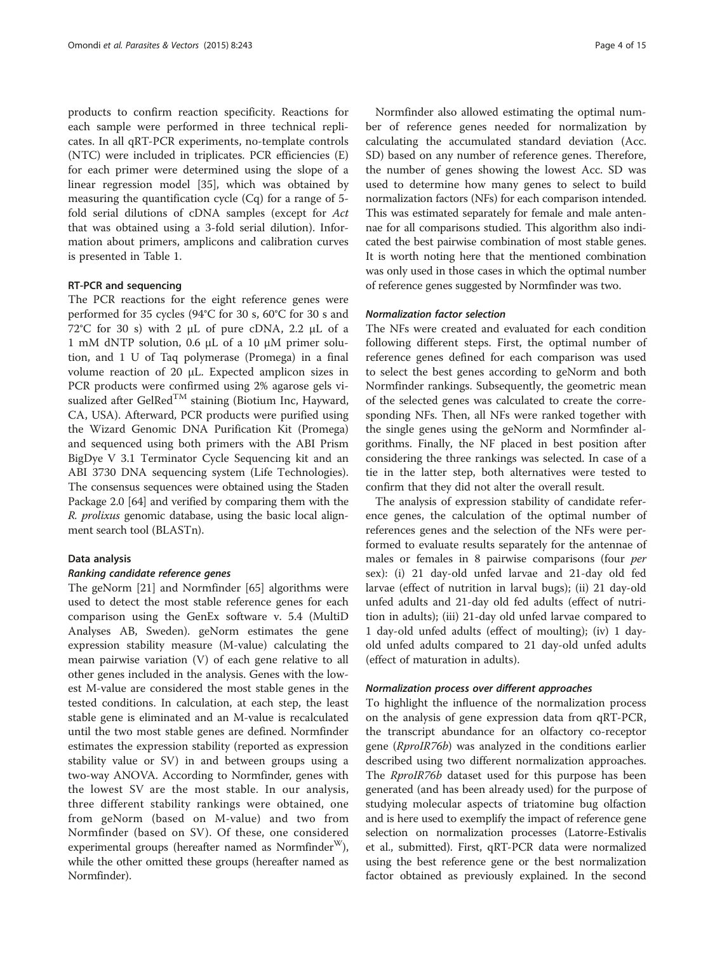products to confirm reaction specificity. Reactions for each sample were performed in three technical replicates. In all qRT-PCR experiments, no-template controls (NTC) were included in triplicates. PCR efficiencies (E) for each primer were determined using the slope of a linear regression model [\[35](#page-13-0)], which was obtained by measuring the quantification cycle  $(Cq)$  for a range of 5fold serial dilutions of cDNA samples (except for Act that was obtained using a 3-fold serial dilution). Information about primers, amplicons and calibration curves is presented in Table [1](#page-2-0).

#### RT-PCR and sequencing

The PCR reactions for the eight reference genes were performed for 35 cycles (94°C for 30 s, 60°C for 30 s and 72°C for 30 s) with 2 μL of pure cDNA, 2.2 μL of a 1 mM dNTP solution, 0.6 μL of a 10 μM primer solution, and 1 U of Taq polymerase (Promega) in a final volume reaction of 20 μL. Expected amplicon sizes in PCR products were confirmed using 2% agarose gels visualized after  $\text{GelRed}^{\text{TM}}$  staining (Biotium Inc, Hayward, CA, USA). Afterward, PCR products were purified using the Wizard Genomic DNA Purification Kit (Promega) and sequenced using both primers with the ABI Prism BigDye V 3.1 Terminator Cycle Sequencing kit and an ABI 3730 DNA sequencing system (Life Technologies). The consensus sequences were obtained using the Staden Package 2.0 [[64](#page-14-0)] and verified by comparing them with the R. prolixus genomic database, using the basic local alignment search tool (BLASTn).

# Data analysis

#### Ranking candidate reference genes

The geNorm [[21\]](#page-13-0) and Normfinder [\[65](#page-14-0)] algorithms were used to detect the most stable reference genes for each comparison using the GenEx software v. 5.4 (MultiD Analyses AB, Sweden). geNorm estimates the gene expression stability measure (M-value) calculating the mean pairwise variation (V) of each gene relative to all other genes included in the analysis. Genes with the lowest M-value are considered the most stable genes in the tested conditions. In calculation, at each step, the least stable gene is eliminated and an M-value is recalculated until the two most stable genes are defined. Normfinder estimates the expression stability (reported as expression stability value or SV) in and between groups using a two-way ANOVA. According to Normfinder, genes with the lowest SV are the most stable. In our analysis, three different stability rankings were obtained, one from geNorm (based on M-value) and two from Normfinder (based on SV). Of these, one considered experimental groups (hereafter named as Normfinder<sup>W</sup>), while the other omitted these groups (hereafter named as Normfinder).

Normfinder also allowed estimating the optimal number of reference genes needed for normalization by calculating the accumulated standard deviation (Acc. SD) based on any number of reference genes. Therefore, the number of genes showing the lowest Acc. SD was used to determine how many genes to select to build normalization factors (NFs) for each comparison intended. This was estimated separately for female and male antennae for all comparisons studied. This algorithm also indicated the best pairwise combination of most stable genes. It is worth noting here that the mentioned combination was only used in those cases in which the optimal number of reference genes suggested by Normfinder was two.

#### Normalization factor selection

The NFs were created and evaluated for each condition following different steps. First, the optimal number of reference genes defined for each comparison was used to select the best genes according to geNorm and both Normfinder rankings. Subsequently, the geometric mean of the selected genes was calculated to create the corresponding NFs. Then, all NFs were ranked together with the single genes using the geNorm and Normfinder algorithms. Finally, the NF placed in best position after considering the three rankings was selected. In case of a tie in the latter step, both alternatives were tested to confirm that they did not alter the overall result.

The analysis of expression stability of candidate reference genes, the calculation of the optimal number of references genes and the selection of the NFs were performed to evaluate results separately for the antennae of males or females in 8 pairwise comparisons (four per sex): (i) 21 day-old unfed larvae and 21-day old fed larvae (effect of nutrition in larval bugs); (ii) 21 day-old unfed adults and 21-day old fed adults (effect of nutrition in adults); (iii) 21-day old unfed larvae compared to 1 day-old unfed adults (effect of moulting); (iv) 1 dayold unfed adults compared to 21 day-old unfed adults (effect of maturation in adults).

#### Normalization process over different approaches

To highlight the influence of the normalization process on the analysis of gene expression data from qRT-PCR, the transcript abundance for an olfactory co-receptor gene (RproIR76b) was analyzed in the conditions earlier described using two different normalization approaches. The RproIR76b dataset used for this purpose has been generated (and has been already used) for the purpose of studying molecular aspects of triatomine bug olfaction and is here used to exemplify the impact of reference gene selection on normalization processes (Latorre-Estivalis et al., submitted). First, qRT-PCR data were normalized using the best reference gene or the best normalization factor obtained as previously explained. In the second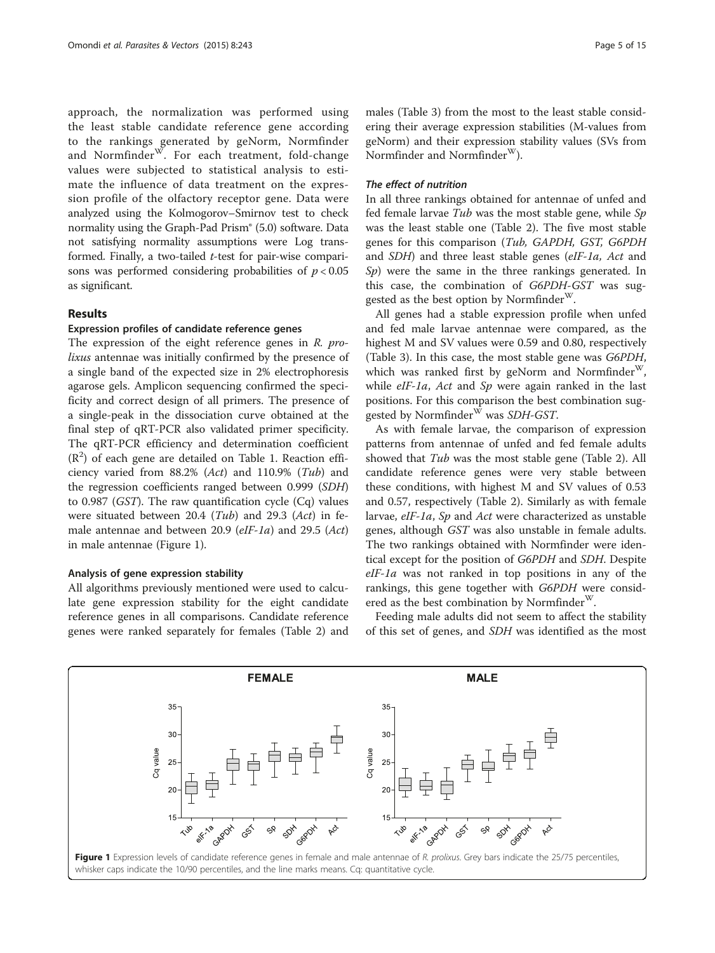approach, the normalization was performed using the least stable candidate reference gene according to the rankings generated by geNorm, Normfinder and Normfinder<sup>W</sup>. For each treatment, fold-change values were subjected to statistical analysis to estimate the influence of data treatment on the expression profile of the olfactory receptor gene. Data were analyzed using the Kolmogorov–Smirnov test to check normality using the Graph-Pad Prism® (5.0) software. Data not satisfying normality assumptions were Log transformed. Finally, a two-tailed  $t$ -test for pair-wise comparisons was performed considering probabilities of  $p < 0.05$ as significant.

#### Results

#### Expression profiles of candidate reference genes

The expression of the eight reference genes in R. prolixus antennae was initially confirmed by the presence of a single band of the expected size in 2% electrophoresis agarose gels. Amplicon sequencing confirmed the specificity and correct design of all primers. The presence of a single-peak in the dissociation curve obtained at the final step of qRT-PCR also validated primer specificity. The qRT-PCR efficiency and determination coefficient  $(R<sup>2</sup>)$  of each gene are detailed on Table [1](#page-2-0). Reaction efficiency varied from  $88.2\%$  (Act) and 110.9% (Tub) and the regression coefficients ranged between 0.999 (SDH) to 0.987 (GST). The raw quantification cycle (Cq) values were situated between 20.4 (Tub) and 29.3 (Act) in female antennae and between 20.9 (eIF-1a) and 29.5 (Act) in male antennae (Figure 1).

#### Analysis of gene expression stability

All algorithms previously mentioned were used to calculate gene expression stability for the eight candidate reference genes in all comparisons. Candidate reference genes were ranked separately for females (Table [2](#page-5-0)) and

males (Table [3](#page-6-0)) from the most to the least stable considering their average expression stabilities (M-values from geNorm) and their expression stability values (SVs from Normfinder and Normfinder<sup>W</sup>).

#### The effect of nutrition

In all three rankings obtained for antennae of unfed and fed female larvae Tub was the most stable gene, while  $Sp$ was the least stable one (Table [2](#page-5-0)). The five most stable genes for this comparison (Tub, GAPDH, GST, G6PDH and SDH) and three least stable genes (eIF-1a, Act and  $Sp$ ) were the same in the three rankings generated. In this case, the combination of G6PDH-GST was suggested as the best option by Normfinder<sup>W</sup>.

All genes had a stable expression profile when unfed and fed male larvae antennae were compared, as the highest M and SV values were 0.59 and 0.80, respectively (Table [3](#page-6-0)). In this case, the most stable gene was G6PDH, which was ranked first by geNorm and Normfinder<sup>W</sup>, while eIF-1a, Act and Sp were again ranked in the last positions. For this comparison the best combination suggested by Normfinder<sup>W</sup> was SDH-GST.

As with female larvae, the comparison of expression patterns from antennae of unfed and fed female adults showed that Tub was the most stable gene (Table [2\)](#page-5-0). All candidate reference genes were very stable between these conditions, with highest M and SV values of 0.53 and 0.57, respectively (Table [2](#page-5-0)). Similarly as with female larvae, eIF-1a, Sp and Act were characterized as unstable genes, although GST was also unstable in female adults. The two rankings obtained with Normfinder were identical except for the position of G6PDH and SDH. Despite eIF-1a was not ranked in top positions in any of the rankings, this gene together with G6PDH were considered as the best combination by Normfinder<sup>W</sup>.

Feeding male adults did not seem to affect the stability of this set of genes, and SDH was identified as the most

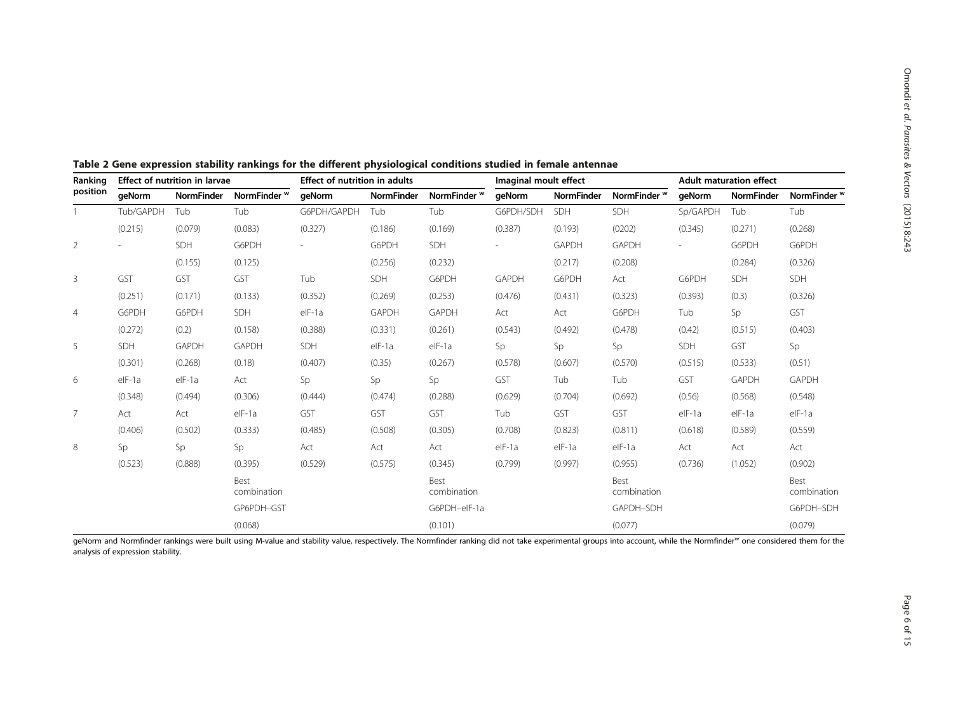| Ranking        | Effect of nutrition in larvae |                   |                     | Effect of nutrition in adults |                   |                     | Imaginal moult effect |                   |                     | <b>Adult maturation effect</b> |                   |                         |
|----------------|-------------------------------|-------------------|---------------------|-------------------------------|-------------------|---------------------|-----------------------|-------------------|---------------------|--------------------------------|-------------------|-------------------------|
| position       | geNorm                        | <b>NormFinder</b> | NormFinder W        | aeNorm                        | <b>NormFinder</b> | NormFinder W        | qeNorm                | <b>NormFinder</b> | NormFinder W        | qeNorm                         | <b>NormFinder</b> | NormFinder <sup>w</sup> |
|                | Tub/GAPDH                     | Tub               | Tub                 | G6PDH/GAPDH                   | Tub               | Tub                 | G6PDH/SDH             | SDH               | <b>SDH</b>          | Sp/GAPDH                       | Tub               | Tub                     |
|                | (0.215)                       | (0.079)           | (0.083)             | (0.327)                       | (0.186)           | (0.169)             | (0.387)               | (0.193)           | (0202)              | (0.345)                        | (0.271)           | (0.268)                 |
| $\overline{2}$ |                               | SDH               | G6PDH               |                               | G6PDH             | SDH                 |                       | <b>GAPDH</b>      | <b>GAPDH</b>        | $\overline{\phantom{0}}$       | G6PDH             | G6PDH                   |
|                |                               | (0.155)           | (0.125)             |                               | (0.256)           | (0.232)             |                       | (0.217)           | (0.208)             |                                | (0.284)           | (0.326)                 |
| $\mathbf{3}$   | <b>GST</b>                    | <b>GST</b>        | GST                 | Tub                           | SDH               | G6PDH               | <b>GAPDH</b>          | G6PDH             | Act                 | G6PDH                          | SDH               | SDH                     |
|                | (0.251)                       | (0.171)           | (0.133)             | (0.352)                       | (0.269)           | (0.253)             | (0.476)               | (0.431)           | (0.323)             | (0.393)                        | (0.3)             | (0.326)                 |
| $\overline{4}$ | G6PDH                         | G6PDH             | SDH                 | elF-1a                        | <b>GAPDH</b>      | <b>GAPDH</b>        | Act                   | Act               | G6PDH               | Tub                            | Sp                | GST                     |
|                | (0.272)                       | (0.2)             | (0.158)             | (0.388)                       | (0.331)           | (0.261)             | (0.543)               | (0.492)           | (0.478)             | (0.42)                         | (0.515)           | (0.403)                 |
| 5              | SDH                           | <b>GAPDH</b>      | <b>GAPDH</b>        | SDH                           | $e$ IF-1a         | elF-1a              | Sp                    | Sp                | Sp                  | SDH                            | <b>GST</b>        | Sp                      |
|                | (0.301)                       | (0.268)           | (0.18)              | (0.407)                       | (0.35)            | (0.267)             | (0.578)               | (0.607)           | (0.570)             | (0.515)                        | (0.533)           | (0.51)                  |
| 6              | elF-1a                        | elF-1a            | Act                 | Sp                            | Sp                | Sp                  | GST                   | Tub               | Tub                 | GST                            | <b>GAPDH</b>      | <b>GAPDH</b>            |
|                | (0.348)                       | (0.494)           | (0.306)             | (0.444)                       | (0.474)           | (0.288)             | (0.629)               | (0.704)           | (0.692)             | (0.56)                         | (0.568)           | (0.548)                 |
| 7              | Act                           | Act               | elF-1a              | GST                           | GST               | <b>GST</b>          | Tub                   | GST               | <b>GST</b>          | elF-1a                         | elF-1a            | elF-1a                  |
|                | (0.406)                       | (0.502)           | (0.333)             | (0.485)                       | (0.508)           | (0.305)             | (0.708)               | (0.823)           | (0.811)             | (0.618)                        | (0.589)           | (0.559)                 |
| 8              | Sp                            | Sp                | Sp                  | Act                           | Act               | Act                 | elF-1a                | elF-1a            | elF-1a              | Act                            | Act               | Act                     |
|                | (0.523)                       | (0.888)           | (0.395)             | (0.529)                       | (0.575)           | (0.345)             | (0.799)               | (0.997)           | (0.955)             | (0.736)                        | (1.052)           | (0.902)                 |
|                |                               |                   | Best<br>combination |                               |                   | Best<br>combination |                       |                   | Best<br>combination |                                |                   | Best<br>combination     |
|                |                               |                   | GP6PDH-GST          |                               |                   | G6PDH-elF-1a        |                       |                   | GAPDH-SDH           |                                |                   | G6PDH-SDH               |
|                |                               |                   | (0.068)             |                               |                   | (0.101)             |                       |                   | (0.077)             |                                |                   | (0.079)                 |

<span id="page-5-0"></span>Table 2 Gene expression stability rankings for the different physiological conditions studied in female antennae

geNorm and Normfinder rankings were built using M-value and stability value, respectively. The Normfinder ranking did not take experimental groups into account, while the Normfinder<sup>w</sup> one considered them for the analysis of expression stability.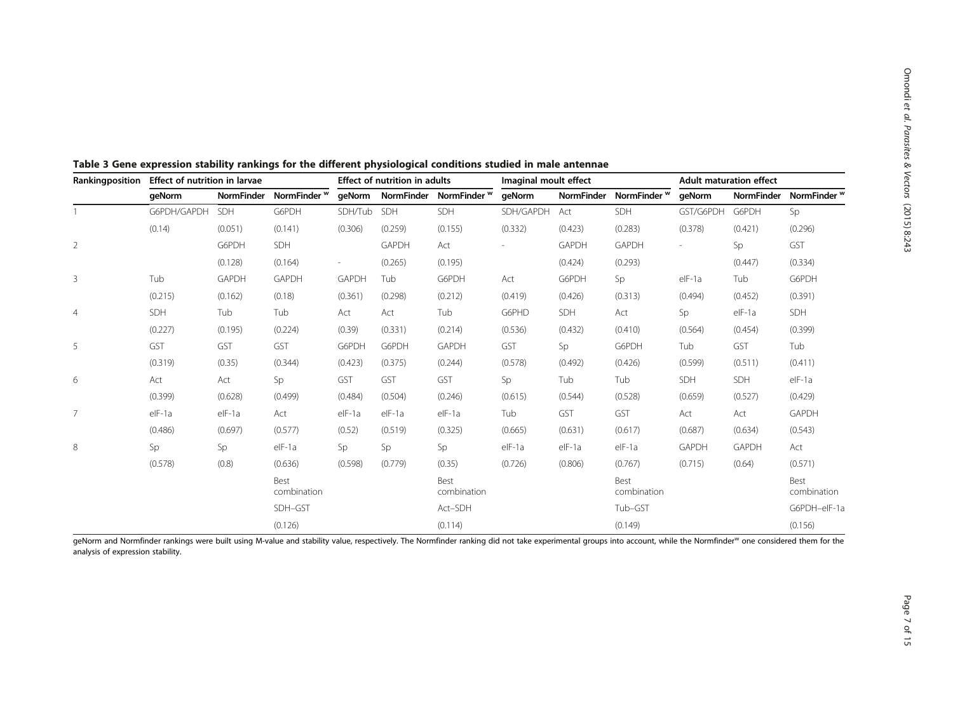|                | Rankingposition Effect of nutrition in larvae |                   |                     | Effect of nutrition in adults |              |                         | Imaginal moult effect |              |                     | <b>Adult maturation effect</b> |                   |                     |
|----------------|-----------------------------------------------|-------------------|---------------------|-------------------------------|--------------|-------------------------|-----------------------|--------------|---------------------|--------------------------------|-------------------|---------------------|
|                | qeNorm                                        | <b>NormFinder</b> | NormFinder W        | geNorm                        |              | NormFinder NormFinder W | qeNorm                | NormFinder   | NormFinder W        | qeNorm                         | <b>NormFinder</b> | NormFinder W        |
|                | G6PDH/GAPDH                                   | SDH               | G6PDH               | SDH/Tub                       | SDH          | SDH                     | SDH/GAPDH             | Act          | <b>SDH</b>          | GST/G6PDH                      | G6PDH             | Sp                  |
|                | (0.14)                                        | (0.051)           | (0.141)             | (0.306)                       | (0.259)      | (0.155)                 | (0.332)               | (0.423)      | (0.283)             | (0.378)                        | (0.421)           | (0.296)             |
| $\sqrt{2}$     |                                               | G6PDH             | SDH                 |                               | <b>GAPDH</b> | Act                     |                       | <b>GAPDH</b> | <b>GAPDH</b>        |                                | Sp                | GST                 |
|                |                                               | (0.128)           | (0.164)             | $\sim$                        | (0.265)      | (0.195)                 |                       | (0.424)      | (0.293)             |                                | (0.447)           | (0.334)             |
| 3              | Tub                                           | <b>GAPDH</b>      | <b>GAPDH</b>        | <b>GAPDH</b>                  | Tub          | G6PDH                   | Act                   | G6PDH        | Sp                  | $e$ IF-1a                      | Tub               | G6PDH               |
|                | (0.215)                                       | (0.162)           | (0.18)              | (0.361)                       | (0.298)      | (0.212)                 | (0.419)               | (0.426)      | (0.313)             | (0.494)                        | (0.452)           | (0.391)             |
| $\overline{4}$ | SDH                                           | Tub               | Tub                 | Act                           | Act          | Tub                     | G6PHD                 | SDH          | Act                 | Sp                             | elF-1a            | SDH                 |
|                | (0.227)                                       | (0.195)           | (0.224)             | (0.39)                        | (0.331)      | (0.214)                 | (0.536)               | (0.432)      | (0.410)             | (0.564)                        | (0.454)           | (0.399)             |
| 5              | GST                                           | GST               | GST                 | G6PDH                         | G6PDH        | <b>GAPDH</b>            | GST                   | Sp           | G6PDH               | Tub                            | GST               | Tub                 |
|                | (0.319)                                       | (0.35)            | (0.344)             | (0.423)                       | (0.375)      | (0.244)                 | (0.578)               | (0.492)      | (0.426)             | (0.599)                        | (0.511)           | (0.411)             |
| 6              | Act                                           | Act               | Sp                  | GST                           | <b>GST</b>   | GST                     | Sp                    | Tub          | Tub                 | SDH                            | SDH               | elF-1a              |
|                | (0.399)                                       | (0.628)           | (0.499)             | (0.484)                       | (0.504)      | (0.246)                 | (0.615)               | (0.544)      | (0.528)             | (0.659)                        | (0.527)           | (0.429)             |
| $\overline{7}$ | elF-1a                                        | elF-1a            | Act                 | elF-1a                        | elF-1a       | elF-1a                  | Tub                   | GST          | GST                 | Act                            | Act               | GAPDH               |
|                | (0.486)                                       | (0.697)           | (0.577)             | (0.52)                        | (0.519)      | (0.325)                 | (0.665)               | (0.631)      | (0.617)             | (0.687)                        | (0.634)           | (0.543)             |
| 8              | Sp                                            | Sp                | elF-1a              | Sp                            | Sp           | Sp                      | elF-1a                | elF-1a       | elF-1a              | <b>GAPDH</b>                   | <b>GAPDH</b>      | Act                 |
|                | (0.578)                                       | (0.8)             | (0.636)             | (0.598)                       | (0.779)      | (0.35)                  | (0.726)               | (0.806)      | (0.767)             | (0.715)                        | (0.64)            | (0.571)             |
|                |                                               |                   | Best<br>combination |                               |              | Best<br>combination     |                       |              | Best<br>combination |                                |                   | Best<br>combination |
|                |                                               |                   | SDH-GST             |                               |              | Act-SDH                 |                       |              | Tub-GST             |                                |                   | G6PDH-elF-1a        |
|                |                                               |                   | (0.126)             |                               |              | (0.114)                 |                       |              | (0.149)             |                                |                   | (0.156)             |

<span id="page-6-0"></span>Table 3 Gene expression stability rankings for the different physiological conditions studied in male antennae

geNorm and Normfinder rankings were built using M-value and stability value, respectively. The Normfinder ranking did not take experimental groups into account, while the Normfinder<sup>w</sup> one considered them for the analysis of expression stability.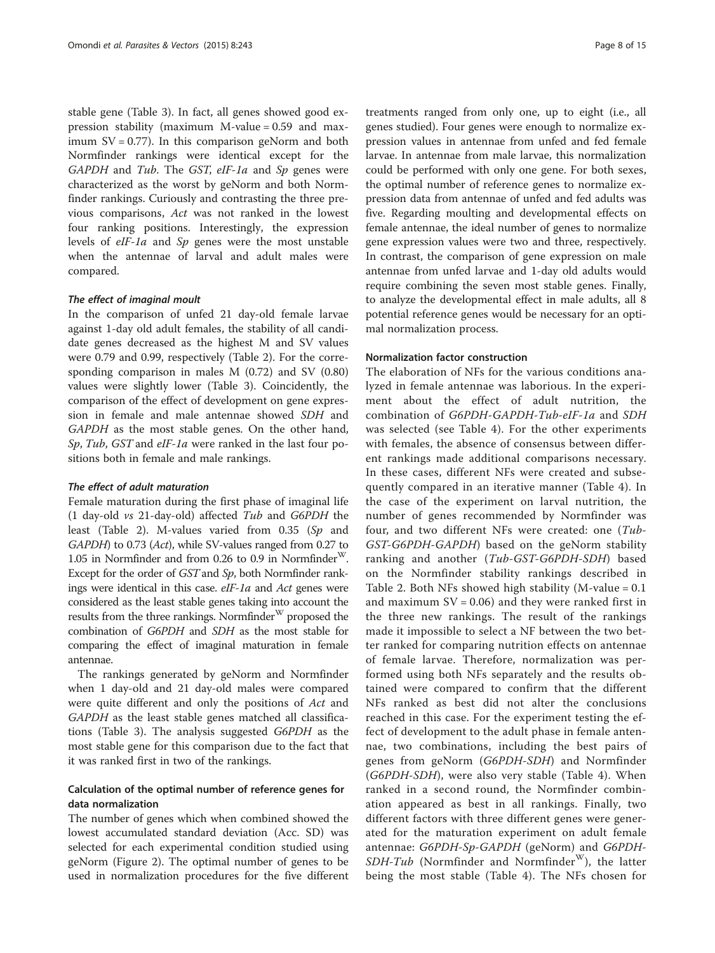stable gene (Table [3\)](#page-6-0). In fact, all genes showed good expression stability (maximum M-value = 0.59 and maximum  $SV = 0.77$ ). In this comparison geNorm and both Normfinder rankings were identical except for the  $GAPDH$  and Tub. The GST, eIF-1a and Sp genes were characterized as the worst by geNorm and both Normfinder rankings. Curiously and contrasting the three previous comparisons, Act was not ranked in the lowest four ranking positions. Interestingly, the expression levels of eIF-1a and Sp genes were the most unstable when the antennae of larval and adult males were compared.

#### The effect of imaginal moult

In the comparison of unfed 21 day-old female larvae against 1-day old adult females, the stability of all candidate genes decreased as the highest M and SV values were 0.79 and 0.99, respectively (Table [2\)](#page-5-0). For the corresponding comparison in males M (0.72) and SV (0.80) values were slightly lower (Table [3](#page-6-0)). Coincidently, the comparison of the effect of development on gene expression in female and male antennae showed SDH and GAPDH as the most stable genes. On the other hand, Sp, Tub, GST and eIF-1a were ranked in the last four positions both in female and male rankings.

### The effect of adult maturation

Female maturation during the first phase of imaginal life (1 day-old vs 21-day-old) affected Tub and G6PDH the least (Table [2\)](#page-5-0). M-values varied from 0.35 (Sp and GAPDH) to 0.73 (Act), while SV-values ranged from 0.27 to 1.05 in Normfinder and from 0.26 to 0.9 in Normfinder<sup>W</sup>. Except for the order of GST and Sp, both Normfinder rankings were identical in this case. eIF-1a and Act genes were considered as the least stable genes taking into account the results from the three rankings. Normfinder<sup>W</sup> proposed the combination of G6PDH and SDH as the most stable for comparing the effect of imaginal maturation in female antennae.

The rankings generated by geNorm and Normfinder when 1 day-old and 21 day-old males were compared were quite different and only the positions of Act and GAPDH as the least stable genes matched all classifications (Table [3\)](#page-6-0). The analysis suggested G6PDH as the most stable gene for this comparison due to the fact that it was ranked first in two of the rankings.

# Calculation of the optimal number of reference genes for data normalization

The number of genes which when combined showed the lowest accumulated standard deviation (Acc. SD) was selected for each experimental condition studied using geNorm (Figure [2](#page-8-0)). The optimal number of genes to be used in normalization procedures for the five different

treatments ranged from only one, up to eight (i.e., all genes studied). Four genes were enough to normalize expression values in antennae from unfed and fed female larvae. In antennae from male larvae, this normalization could be performed with only one gene. For both sexes, the optimal number of reference genes to normalize expression data from antennae of unfed and fed adults was five. Regarding moulting and developmental effects on female antennae, the ideal number of genes to normalize gene expression values were two and three, respectively. In contrast, the comparison of gene expression on male antennae from unfed larvae and 1-day old adults would require combining the seven most stable genes. Finally, to analyze the developmental effect in male adults, all 8 potential reference genes would be necessary for an optimal normalization process.

# Normalization factor construction

The elaboration of NFs for the various conditions analyzed in female antennae was laborious. In the experiment about the effect of adult nutrition, the combination of G6PDH-GAPDH-Tub-eIF-1a and SDH was selected (see Table [4](#page-9-0)). For the other experiments with females, the absence of consensus between different rankings made additional comparisons necessary. In these cases, different NFs were created and subsequently compared in an iterative manner (Table [4](#page-9-0)). In the case of the experiment on larval nutrition, the number of genes recommended by Normfinder was four, and two different NFs were created: one (Tub-GST-G6PDH-GAPDH) based on the geNorm stability ranking and another (Tub-GST-G6PDH-SDH) based on the Normfinder stability rankings described in Table [2.](#page-5-0) Both NFs showed high stability (M-value  $= 0.1$ ) and maximum  $SV = 0.06$ ) and they were ranked first in the three new rankings. The result of the rankings made it impossible to select a NF between the two better ranked for comparing nutrition effects on antennae of female larvae. Therefore, normalization was performed using both NFs separately and the results obtained were compared to confirm that the different NFs ranked as best did not alter the conclusions reached in this case. For the experiment testing the effect of development to the adult phase in female antennae, two combinations, including the best pairs of genes from geNorm (G6PDH-SDH) and Normfinder (G6PDH-SDH), were also very stable (Table [4](#page-9-0)). When ranked in a second round, the Normfinder combination appeared as best in all rankings. Finally, two different factors with three different genes were generated for the maturation experiment on adult female antennae: G6PDH-Sp-GAPDH (geNorm) and G6PDH- $SDH-Tub$  (Normfinder and Normfinder<sup>W</sup>), the latter being the most stable (Table [4](#page-9-0)). The NFs chosen for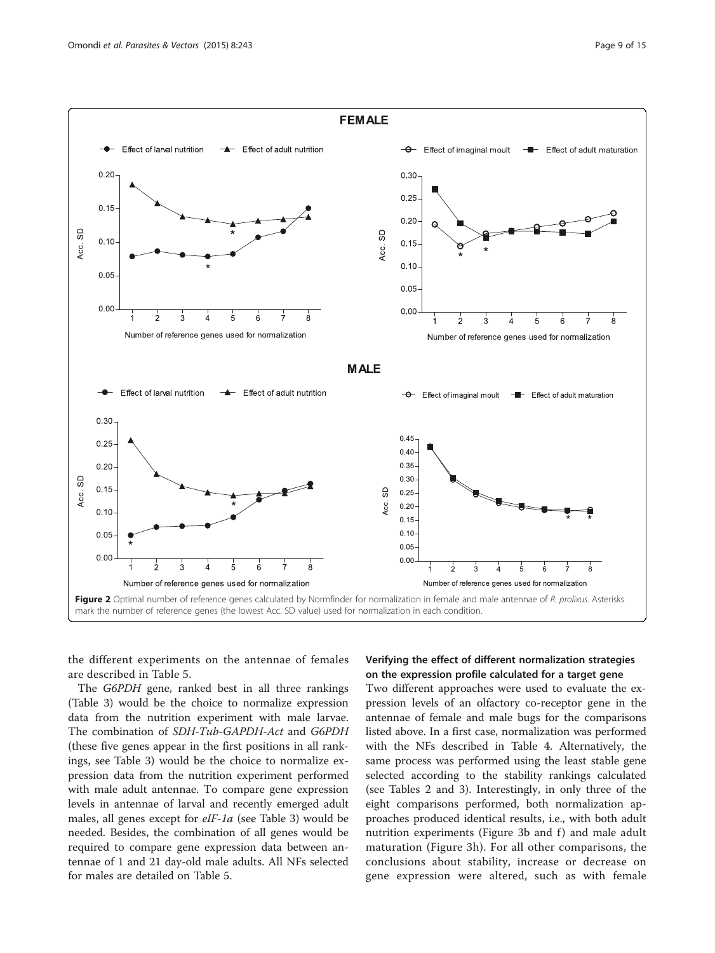<span id="page-8-0"></span>

the different experiments on the antennae of females are described in Table [5](#page-10-0).

The G6PDH gene, ranked best in all three rankings (Table [3](#page-6-0)) would be the choice to normalize expression data from the nutrition experiment with male larvae. The combination of SDH-Tub-GAPDH-Act and G6PDH (these five genes appear in the first positions in all rankings, see Table [3\)](#page-6-0) would be the choice to normalize expression data from the nutrition experiment performed with male adult antennae. To compare gene expression levels in antennae of larval and recently emerged adult males, all genes except for *eIF-1a* (see Table [3](#page-6-0)) would be needed. Besides, the combination of all genes would be required to compare gene expression data between antennae of 1 and 21 day-old male adults. All NFs selected for males are detailed on Table [5](#page-10-0).

# Verifying the effect of different normalization strategies on the expression profile calculated for a target gene

Two different approaches were used to evaluate the expression levels of an olfactory co-receptor gene in the antennae of female and male bugs for the comparisons listed above. In a first case, normalization was performed with the NFs described in Table [4](#page-9-0). Alternatively, the same process was performed using the least stable gene selected according to the stability rankings calculated (see Tables [2](#page-5-0) and [3\)](#page-6-0). Interestingly, in only three of the eight comparisons performed, both normalization approaches produced identical results, i.e., with both adult nutrition experiments (Figure [3](#page-12-0)b and f) and male adult maturation (Figure [3](#page-12-0)h). For all other comparisons, the conclusions about stability, increase or decrease on gene expression were altered, such as with female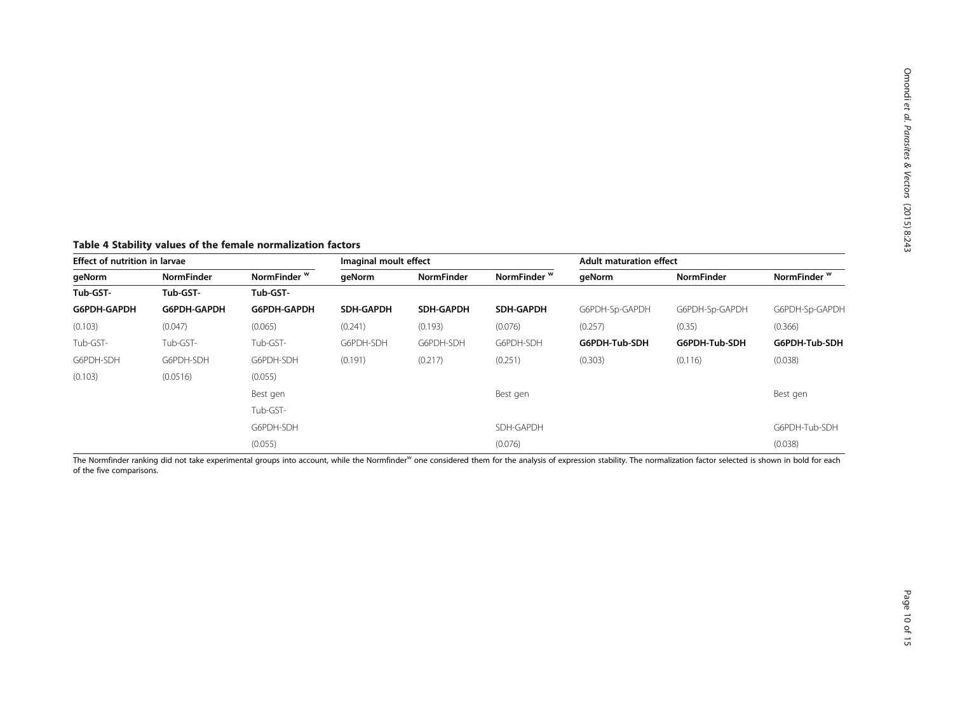<span id="page-9-0"></span>Table 4 Stability values of the female normalization factors

| <b>Effect of nutrition in larvae</b> |                   |              | Imaginal moult effect |            |              | <b>Adult maturation effect</b> |                   |                |  |
|--------------------------------------|-------------------|--------------|-----------------------|------------|--------------|--------------------------------|-------------------|----------------|--|
| geNorm                               | <b>NormFinder</b> | NormFinder W | qeNorm                | NormFinder | NormFinder W | qeNorm                         | <b>NormFinder</b> | NormFinder W   |  |
| Tub-GST-                             | Tub-GST-          | Tub-GST-     |                       |            |              |                                |                   |                |  |
| G6PDH-GAPDH                          | G6PDH-GAPDH       | G6PDH-GAPDH  | SDH-GAPDH             | SDH-GAPDH  | SDH-GAPDH    | G6PDH-Sp-GAPDH                 | G6PDH-Sp-GAPDH    | G6PDH-Sp-GAPDH |  |
| (0.103)                              | (0.047)           | (0.065)      | (0.241)               | (0.193)    | (0.076)      | (0.257)                        | (0.35)            | (0.366)        |  |
| Tub-GST-                             | Tub-GST-          | Tub-GST-     | G6PDH-SDH             | G6PDH-SDH  | G6PDH-SDH    | G6PDH-Tub-SDH                  | G6PDH-Tub-SDH     | G6PDH-Tub-SDH  |  |
| G6PDH-SDH                            | G6PDH-SDH         | G6PDH-SDH    | (0.191)               | (0.217)    | (0.251)      | (0.303)                        | (0.116)           | (0.038)        |  |
| (0.103)                              | (0.0516)          | (0.055)      |                       |            |              |                                |                   |                |  |
|                                      |                   | Best gen     |                       |            | Best gen     |                                |                   | Best gen       |  |
|                                      |                   | Tub-GST-     |                       |            |              |                                |                   |                |  |
|                                      |                   | G6PDH-SDH    |                       |            | SDH-GAPDH    |                                |                   | G6PDH-Tub-SDH  |  |
|                                      |                   | (0.055)      |                       |            | (0.076)      |                                |                   | (0.038)        |  |

The Normfinder ranking did not take experimental groups into account, while the Normfinder<sup>w</sup> one considered them for the analysis of expression stability. The normalization factor selected is shown in bold for each of the five comparisons.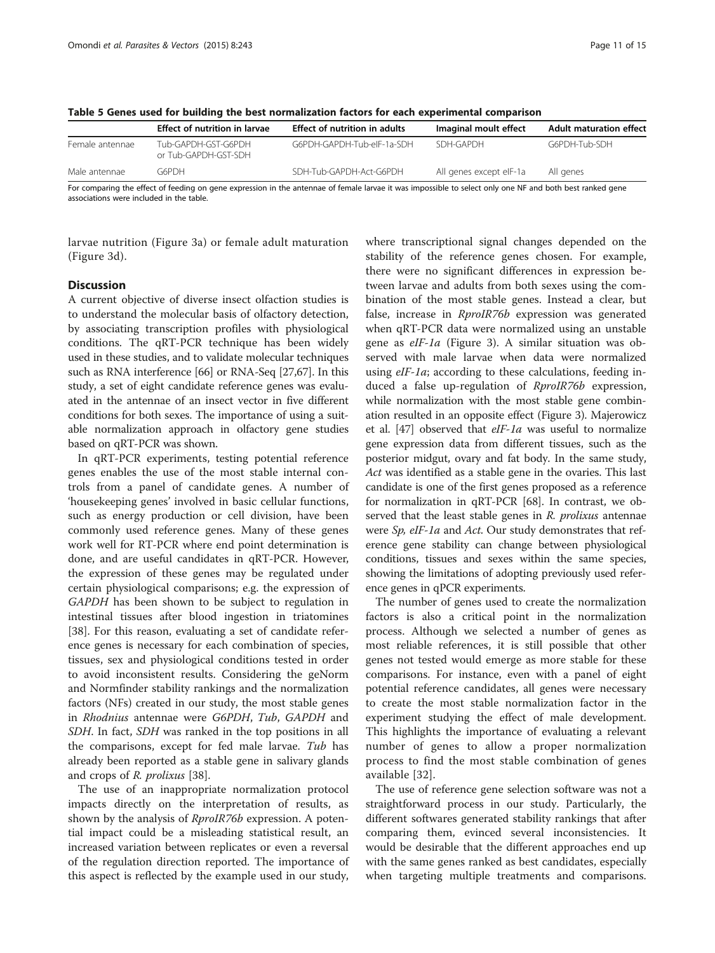|                 | Effect of nutrition in larvae               | <b>Effect of nutrition in adults</b> | Imaginal moult effect   | <b>Adult maturation effect</b> |
|-----------------|---------------------------------------------|--------------------------------------|-------------------------|--------------------------------|
| Female antennae | Tub-GAPDH-GST-G6PDH<br>or Tub-GAPDH-GST-SDH | G6PDH-GAPDH-Tub-eIF-1a-SDH           | SDH-GAPDH               | G6PDH-Tub-SDH                  |
| Male antennae   | G6PDH                                       | SDH-Tub-GAPDH-Act-G6PDH              | All genes except elF-1a | All genes                      |

<span id="page-10-0"></span>Table 5 Genes used for building the best normalization factors for each experimental comparison

For comparing the effect of feeding on gene expression in the antennae of female larvae it was impossible to select only one NF and both best ranked gene associations were included in the table.

larvae nutrition (Figure [3a](#page-12-0)) or female adult maturation (Figure [3d](#page-12-0)).

#### **Discussion**

A current objective of diverse insect olfaction studies is to understand the molecular basis of olfactory detection, by associating transcription profiles with physiological conditions. The qRT-PCR technique has been widely used in these studies, and to validate molecular techniques such as RNA interference [\[66\]](#page-14-0) or RNA-Seq [[27](#page-13-0)[,67\]](#page-14-0). In this study, a set of eight candidate reference genes was evaluated in the antennae of an insect vector in five different conditions for both sexes. The importance of using a suitable normalization approach in olfactory gene studies based on qRT-PCR was shown.

In qRT-PCR experiments, testing potential reference genes enables the use of the most stable internal controls from a panel of candidate genes. A number of 'housekeeping genes' involved in basic cellular functions, such as energy production or cell division, have been commonly used reference genes. Many of these genes work well for RT-PCR where end point determination is done, and are useful candidates in qRT-PCR. However, the expression of these genes may be regulated under certain physiological comparisons; e.g. the expression of GAPDH has been shown to be subject to regulation in intestinal tissues after blood ingestion in triatomines [[38\]](#page-13-0). For this reason, evaluating a set of candidate reference genes is necessary for each combination of species, tissues, sex and physiological conditions tested in order to avoid inconsistent results. Considering the geNorm and Normfinder stability rankings and the normalization factors (NFs) created in our study, the most stable genes in Rhodnius antennae were G6PDH, Tub, GAPDH and SDH. In fact, SDH was ranked in the top positions in all the comparisons, except for fed male larvae. Tub has already been reported as a stable gene in salivary glands and crops of R. prolixus [\[38](#page-13-0)].

The use of an inappropriate normalization protocol impacts directly on the interpretation of results, as shown by the analysis of *RproIR76b* expression. A potential impact could be a misleading statistical result, an increased variation between replicates or even a reversal of the regulation direction reported. The importance of this aspect is reflected by the example used in our study,

where transcriptional signal changes depended on the stability of the reference genes chosen. For example, there were no significant differences in expression between larvae and adults from both sexes using the combination of the most stable genes. Instead a clear, but false, increase in RproIR76b expression was generated when qRT-PCR data were normalized using an unstable gene as eIF-1a (Figure [3\)](#page-12-0). A similar situation was observed with male larvae when data were normalized using eIF-1a; according to these calculations, feeding induced a false up-regulation of RproIR76b expression, while normalization with the most stable gene combination resulted in an opposite effect (Figure [3](#page-12-0)). Majerowicz et al. [[47](#page-14-0)] observed that eIF-1a was useful to normalize gene expression data from different tissues, such as the posterior midgut, ovary and fat body. In the same study, Act was identified as a stable gene in the ovaries. This last candidate is one of the first genes proposed as a reference for normalization in qRT-PCR [[68](#page-14-0)]. In contrast, we observed that the least stable genes in R. prolixus antennae were Sp, eIF-1a and Act. Our study demonstrates that reference gene stability can change between physiological conditions, tissues and sexes within the same species, showing the limitations of adopting previously used reference genes in qPCR experiments.

The number of genes used to create the normalization factors is also a critical point in the normalization process. Although we selected a number of genes as most reliable references, it is still possible that other genes not tested would emerge as more stable for these comparisons. For instance, even with a panel of eight potential reference candidates, all genes were necessary to create the most stable normalization factor in the experiment studying the effect of male development. This highlights the importance of evaluating a relevant number of genes to allow a proper normalization process to find the most stable combination of genes available [[32](#page-13-0)].

The use of reference gene selection software was not a straightforward process in our study. Particularly, the different softwares generated stability rankings that after comparing them, evinced several inconsistencies. It would be desirable that the different approaches end up with the same genes ranked as best candidates, especially when targeting multiple treatments and comparisons.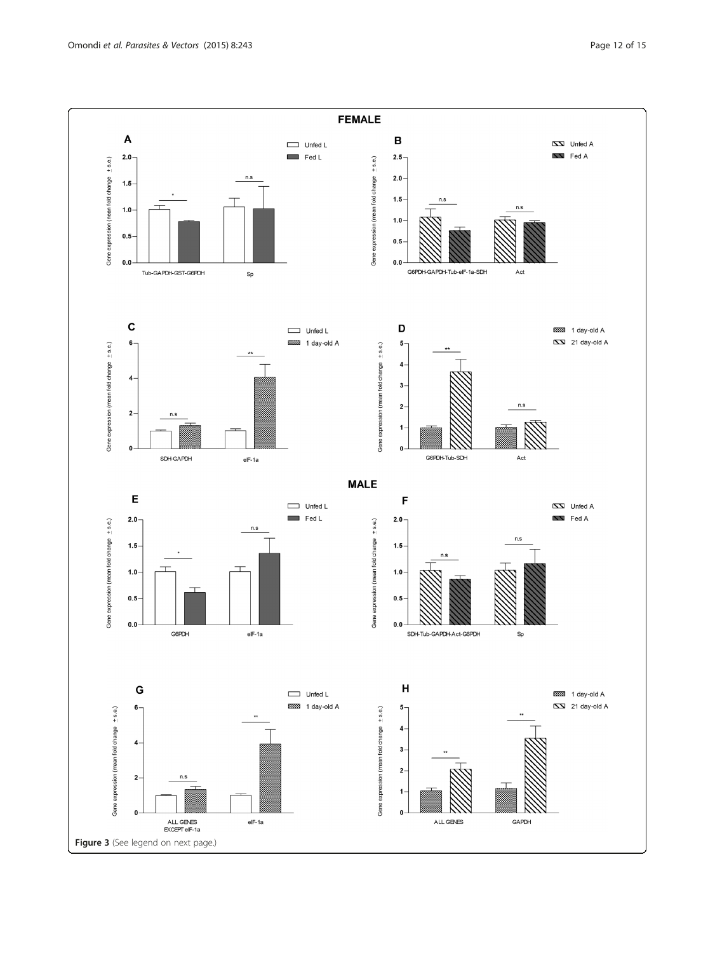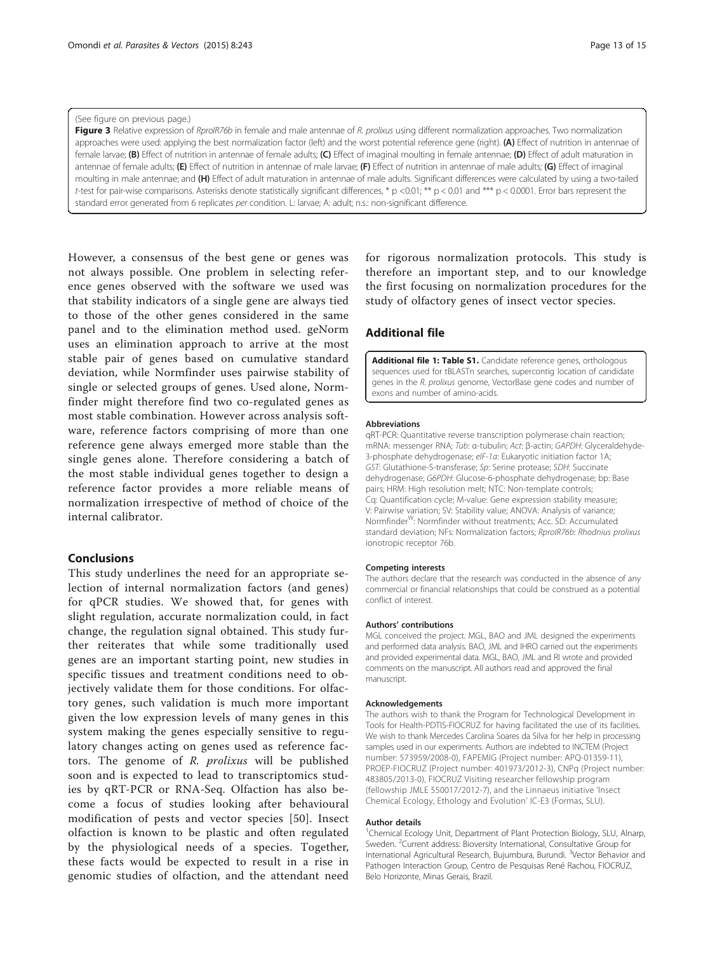#### <span id="page-12-0"></span>(See figure on previous page.)

Figure 3 Relative expression of RproIR76b in female and male antennae of R. prolixus using different normalization approaches. Two normalization approaches were used: applying the best normalization factor (left) and the worst potential reference gene (right). (A) Effect of nutrition in antennae of female larvae; (B) Effect of nutrition in antennae of female adults; (C) Effect of imaginal moulting in female antennae; (D) Effect of adult maturation in antennae of female adults; (E) Effect of nutrition in antennae of male larvae; (F) Effect of nutrition in antennae of male adults; (G) Effect of imaginal moulting in male antennae; and (H) Effect of adult maturation in antennae of male adults. Significant differences were calculated by using a two-tailed t-test for pair-wise comparisons. Asterisks denote statistically significant differences, \* p <0.01; \*\* p < 0.01 and \*\*\* p < 0.0001. Error bars represent the standard error generated from 6 replicates per condition. L: larvae; A: adult; n.s.: non-significant difference.

However, a consensus of the best gene or genes was not always possible. One problem in selecting reference genes observed with the software we used was that stability indicators of a single gene are always tied to those of the other genes considered in the same panel and to the elimination method used. geNorm uses an elimination approach to arrive at the most stable pair of genes based on cumulative standard deviation, while Normfinder uses pairwise stability of single or selected groups of genes. Used alone, Normfinder might therefore find two co-regulated genes as most stable combination. However across analysis software, reference factors comprising of more than one reference gene always emerged more stable than the single genes alone. Therefore considering a batch of the most stable individual genes together to design a reference factor provides a more reliable means of normalization irrespective of method of choice of the internal calibrator.

# Conclusions

This study underlines the need for an appropriate selection of internal normalization factors (and genes) for qPCR studies. We showed that, for genes with slight regulation, accurate normalization could, in fact change, the regulation signal obtained. This study further reiterates that while some traditionally used genes are an important starting point, new studies in specific tissues and treatment conditions need to objectively validate them for those conditions. For olfactory genes, such validation is much more important given the low expression levels of many genes in this system making the genes especially sensitive to regulatory changes acting on genes used as reference factors. The genome of R. *prolixus* will be published soon and is expected to lead to transcriptomics studies by qRT-PCR or RNA-Seq. Olfaction has also become a focus of studies looking after behavioural modification of pests and vector species [\[50\]](#page-14-0). Insect olfaction is known to be plastic and often regulated by the physiological needs of a species. Together, these facts would be expected to result in a rise in genomic studies of olfaction, and the attendant need for rigorous normalization protocols. This study is therefore an important step, and to our knowledge the first focusing on normalization procedures for the study of olfactory genes of insect vector species.

#### Additional file

[Additional file 1: Table S1.](http://www.parasitesandvectors.com/content/supplementary/s13071-015-0862-x-s1.docx) Candidate reference genes, orthologous sequences used for tBLASTn searches, supercontig location of candidate genes in the R. prolixus genome, VectorBase gene codes and number of exons and number of amino-acids.

#### Abbreviations

qRT-PCR: Quantitative reverse transcription polymerase chain reaction; mRNA: messenger RNA; Tub: α-tubulin; Act: β-actin; GAPDH: Glyceraldehyde-3-phosphate dehydrogenase; eIF-1a: Eukaryotic initiation factor 1A; GST: Glutathione-S-transferase; Sp: Serine protease; SDH: Succinate dehydrogenase; G6PDH: Glucose-6-phosphate dehydrogenase; bp: Base pairs; HRM: High resolution melt; NTC: Non-template controls; Cq: Quantification cycle; M-value: Gene expression stability measure; V: Pairwise variation; SV: Stability value; ANOVA: Analysis of variance; NormfinderW: Normfinder without treatments; Acc. SD: Accumulated standard deviation; NFs: Normalization factors; RproIR76b: Rhodnius prolixus ionotropic receptor 76b.

#### Competing interests

The authors declare that the research was conducted in the absence of any commercial or financial relationships that could be construed as a potential conflict of interest.

#### Authors' contributions

MGL conceived the project. MGL, BAO and JML designed the experiments and performed data analysis. BAO, JML and IHRO carried out the experiments and provided experimental data. MGL, BAO, JML and RI wrote and provided comments on the manuscript. All authors read and approved the final manuscript.

#### Acknowledgements

The authors wish to thank the Program for Technological Development in Tools for Health-PDTIS-FIOCRUZ for having facilitated the use of its facilities. We wish to thank Mercedes Carolina Soares da Silva for her help in processing samples used in our experiments. Authors are indebted to INCTEM (Project number: 573959/2008-0), FAPEMIG (Project number: APQ-01359-11), PROEP-FIOCRUZ (Project number: 401973/2012-3), CNPq (Project number: 483805/2013-0), FIOCRUZ Visiting researcher fellowship program (fellowship JMLE 550017/2012-7), and the Linnaeus initiative 'Insect Chemical Ecology, Ethology and Evolution' IC-E3 (Formas, SLU).

#### Author details

<sup>1</sup>Chemical Ecology Unit, Department of Plant Protection Biology, SLU, Alnarp, Sweden. <sup>2</sup>Current address: Bioversity International, Consultative Group for International Agricultural Research, Bujumbura, Burundi. <sup>3</sup>Vector Behavior and Pathogen Interaction Group, Centro de Pesquisas René Rachou, FIOCRUZ, Belo Horizonte, Minas Gerais, Brazil.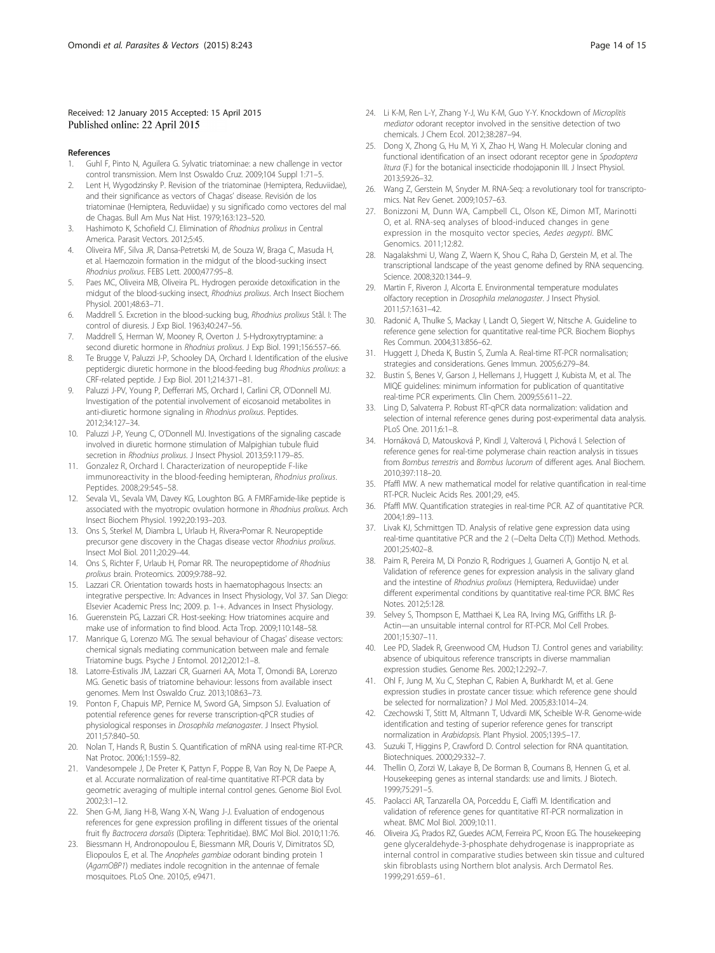#### <span id="page-13-0"></span>Received: 12 January 2015 Accepted: 15 April 2015 Published online: 22 April 2015

#### References

- 1. Guhl F, Pinto N, Aguilera G. Sylvatic triatominae: a new challenge in vector control transmission. Mem Inst Oswaldo Cruz. 2009;104 Suppl 1:71–5.
- Lent H, Wygodzinsky P. Revision of the triatominae (Hemiptera, Reduviidae), and their significance as vectors of Chagas' disease. Revisión de los triatominae (Hemiptera, Reduviidae) y su significado como vectores del mal de Chagas. Bull Am Mus Nat Hist. 1979;163:123–520.
- 3. Hashimoto K, Schofield CJ. Elimination of Rhodnius prolixus in Central America. Parasit Vectors. 2012;5:45.
- 4. Oliveira MF, Silva JR, Dansa-Petretski M, de Souza W, Braga C, Masuda H, et al. Haemozoin formation in the midgut of the blood-sucking insect Rhodnius prolixus. FEBS Lett. 2000;477:95–8.
- 5. Paes MC, Oliveira MB, Oliveira PL. Hydrogen peroxide detoxification in the midgut of the blood-sucking insect, Rhodnius prolixus. Arch Insect Biochem Physiol. 2001;48:63–71.
- 6. Maddrell S. Excretion in the blood-sucking bug, Rhodnius prolixus Stål. I: The control of diuresis. J Exp Biol. 1963;40:247–56.
- 7. Maddrell S, Herman W, Mooney R, Overton J. 5-Hydroxytryptamine: a second diuretic hormone in Rhodnius prolixus. J Exp Biol. 1991;156:557-66.
- 8. Te Brugge V, Paluzzi J-P, Schooley DA, Orchard I. Identification of the elusive peptidergic diuretic hormone in the blood-feeding bug Rhodnius prolixus: a CRF-related peptide. J Exp Biol. 2011;214:371–81.
- Paluzzi J-PV, Young P, Defferrari MS, Orchard I, Carlini CR, O'Donnell MJ. Investigation of the potential involvement of eicosanoid metabolites in anti-diuretic hormone signaling in Rhodnius prolixus. Peptides. 2012;34:127–34.
- 10. Paluzzi J-P, Yeung C, O'Donnell MJ. Investigations of the signaling cascade involved in diuretic hormone stimulation of Malpighian tubule fluid secretion in Rhodnius prolixus. J Insect Physiol. 2013;59:1179–85.
- 11. Gonzalez R, Orchard I. Characterization of neuropeptide F-like immunoreactivity in the blood-feeding hemipteran, Rhodnius prolixus. Peptides. 2008;29:545–58.
- 12. Sevala VL, Sevala VM, Davey KG, Loughton BG. A FMRFamide-like peptide is associated with the myotropic ovulation hormone in Rhodnius prolixus. Arch Insect Biochem Physiol. 1992;20:193–203.
- 13. Ons S, Sterkel M, Diambra L, Urlaub H, Rivera‐Pomar R. Neuropeptide precursor gene discovery in the Chagas disease vector Rhodnius prolixus. Insect Mol Biol. 2011;20:29–44.
- 14. Ons S, Richter F, Urlaub H, Pomar RR. The neuropeptidome of Rhodnius prolixus brain. Proteomics. 2009;9:788–92.
- 15. Lazzari CR. Orientation towards hosts in haematophagous Insects: an integrative perspective. In: Advances in Insect Physiology, Vol 37. San Diego: Elsevier Academic Press Inc; 2009. p. 1-+. Advances in Insect Physiology.
- 16. Guerenstein PG, Lazzari CR. Host-seeking: How triatomines acquire and make use of information to find blood. Acta Trop. 2009;110:148–58.
- 17. Manrique G, Lorenzo MG. The sexual behaviour of Chagas' disease vectors: chemical signals mediating communication between male and female Triatomine bugs. Psyche J Entomol. 2012;2012:1–8.
- 18. Latorre-Estivalis JM, Lazzari CR, Guarneri AA, Mota T, Omondi BA, Lorenzo MG. Genetic basis of triatomine behaviour: lessons from available insect genomes. Mem Inst Oswaldo Cruz. 2013;108:63–73.
- 19. Ponton F, Chapuis MP, Pernice M, Sword GA, Simpson SJ. Evaluation of potential reference genes for reverse transcription-qPCR studies of physiological responses in Drosophila melanogaster. J Insect Physiol. 2011;57:840–50.
- 20. Nolan T, Hands R, Bustin S. Quantification of mRNA using real-time RT-PCR. Nat Protoc. 2006;1:1559–82.
- 21. Vandesompele J, De Preter K, Pattyn F, Poppe B, Van Roy N, De Paepe A, et al. Accurate normalization of real-time quantitative RT-PCR data by geometric averaging of multiple internal control genes. Genome Biol Evol. 2002;3:1–12.
- 22. Shen G-M, Jiang H-B, Wang X-N, Wang J-J. Evaluation of endogenous references for gene expression profiling in different tissues of the oriental fruit fly Bactrocera dorsalis (Diptera: Tephritidae). BMC Mol Biol. 2010;11:76.
- 23. Biessmann H, Andronopoulou E, Biessmann MR, Douris V, Dimitratos SD, Eliopoulos E, et al. The Anopheles gambiae odorant binding protein 1 (AgamOBP1) mediates indole recognition in the antennae of female mosquitoes. PLoS One. 2010;5, e9471.
- 24. Li K-M, Ren L-Y, Zhang Y-J, Wu K-M, Guo Y-Y. Knockdown of Microplitis mediator odorant receptor involved in the sensitive detection of two chemicals. J Chem Ecol. 2012;38:287–94.
- 25. Dong X, Zhong G, Hu M, Yi X, Zhao H, Wang H. Molecular cloning and functional identification of an insect odorant receptor gene in Spodoptera litura (F.) for the botanical insecticide rhodojaponin III. J Insect Physiol. 2013;59:26–32.
- 26. Wang Z, Gerstein M, Snyder M. RNA-Seq: a revolutionary tool for transcriptomics. Nat Rev Genet. 2009;10:57–63.
- 27. Bonizzoni M, Dunn WA, Campbell CL, Olson KE, Dimon MT, Marinotti O, et al. RNA-seq analyses of blood-induced changes in gene expression in the mosquito vector species, Aedes aegypti. BMC Genomics. 2011;12:82.
- 28. Nagalakshmi U, Wang Z, Waern K, Shou C, Raha D, Gerstein M, et al. The transcriptional landscape of the yeast genome defined by RNA sequencing. Science. 2008;320:1344–9.
- 29. Martin F, Riveron J, Alcorta E. Environmental temperature modulates olfactory reception in Drosophila melanogaster. J Insect Physiol. 2011;57:1631–42.
- 30. Radonić A, Thulke S, Mackay I, Landt O, Siegert W, Nitsche A. Guideline to reference gene selection for quantitative real-time PCR. Biochem Biophys Res Commun. 2004;313:856–62.
- 31. Huggett J, Dheda K, Bustin S, Zumla A. Real-time RT-PCR normalisation; strategies and considerations. Genes Immun. 2005;6:279–84.
- 32. Bustin S, Benes V, Garson J, Hellemans J, Huggett J, Kubista M, et al. The MIQE guidelines: minimum information for publication of quantitative real-time PCR experiments. Clin Chem. 2009;55:611–22.
- 33. Ling D, Salvaterra P. Robust RT-qPCR data normalization: validation and selection of internal reference genes during post-experimental data analysis. PLoS One. 2011;6:1–8.
- 34. Hornáková D, Matousková P, Kindl J, Valterová I, Pichová I. Selection of reference genes for real-time polymerase chain reaction analysis in tissues from Bombus terrestris and Bombus lucorum of different ages. Anal Biochem. 2010;397:118–20.
- 35. Pfaffl MW. A new mathematical model for relative quantification in real-time RT-PCR. Nucleic Acids Res. 2001;29, e45.
- 36. Pfaffl MW. Quantification strategies in real-time PCR. AZ of quantitative PCR. 2004;1:89–113.
- 37. Livak KJ, Schmittgen TD. Analysis of relative gene expression data using real-time quantitative PCR and the 2 (−Delta Delta C(T)) Method. Methods. 2001;25:402–8.
- 38. Paim R, Pereira M, Di Ponzio R, Rodrigues J, Guarneri A, Gontijo N, et al. Validation of reference genes for expression analysis in the salivary gland and the intestine of Rhodnius prolixus (Hemiptera, Reduviidae) under different experimental conditions by quantitative real-time PCR. BMC Res Notes. 2012;5:128.
- 39. Selvey S, Thompson E, Matthaei K, Lea RA, Irving MG, Griffiths LR. β-Actin—an unsuitable internal control for RT-PCR. Mol Cell Probes. 2001;15:307–11.
- 40. Lee PD, Sladek R, Greenwood CM, Hudson TJ. Control genes and variability: absence of ubiquitous reference transcripts in diverse mammalian expression studies. Genome Res. 2002;12:292–7.
- 41. Ohl F, Jung M, Xu C, Stephan C, Rabien A, Burkhardt M, et al. Gene expression studies in prostate cancer tissue: which reference gene should be selected for normalization? J Mol Med. 2005;83:1014–24.
- 42. Czechowski T, Stitt M, Altmann T, Udvardi MK, Scheible W-R. Genome-wide identification and testing of superior reference genes for transcript normalization in Arabidopsis. Plant Physiol. 2005;139:5–17.
- 43. Suzuki T, Higgins P, Crawford D. Control selection for RNA quantitation. Biotechniques. 2000;29:332–7.
- 44. Thellin O, Zorzi W, Lakaye B, De Borman B, Coumans B, Hennen G, et al. Housekeeping genes as internal standards: use and limits. J Biotech. 1999;75:291–5.
- 45. Paolacci AR, Tanzarella OA, Porceddu E, Ciaffi M. Identification and validation of reference genes for quantitative RT-PCR normalization in wheat. BMC Mol Biol. 2009;10:11.
- 46. Oliveira JG, Prados RZ, Guedes ACM, Ferreira PC, Kroon EG. The housekeeping gene glyceraldehyde-3-phosphate dehydrogenase is inappropriate as internal control in comparative studies between skin tissue and cultured skin fibroblasts using Northern blot analysis. Arch Dermatol Res. 1999;291:659–61.